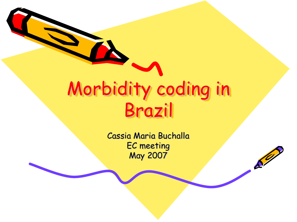## Morbidity coding in Brazil

Cassia Maria Buchalla EC meeting May 2007

 $\mathcal{S}^{\prime\prime}$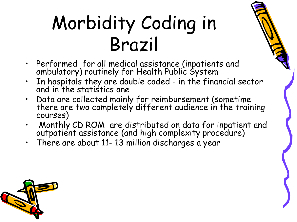## Morbidity Coding in Brazil

- Performed for all medical assistance (inpatients and ambulatory) routinely for Health Public System
- In hospitals they are double coded in the financial sector and in the statistics one
- Data are collected mainly for reimbursement (sometime there are two completely different audience in the training courses)
- Monthly CD ROM are distributed on data for inpatient and outpatient assistance (and high complexity procedure)
- There are about 11- 13 million discharges a year

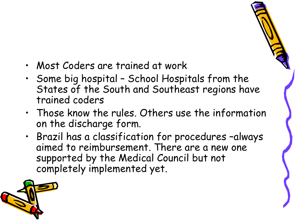- Most Coders are trained at work
- Some big hospital School Hospitals from the States of the South and Southeast regions have trained coders
- Those know the rules. Others use the information on the discharge form.
- Brazil has a classification for procedures –always aimed to reimbursement. There are a new one supported by the Medical Council but not completely implemented yet.